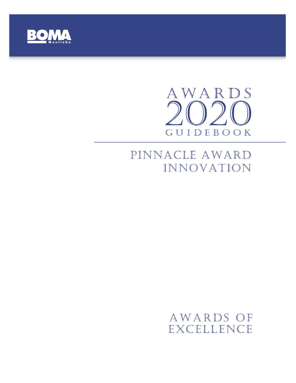

# AWARDS  $\bigcap$ GUIDEBOOK

# PINNACLE AWARD INNOVATION

# AWARDS OF EXCELLENCE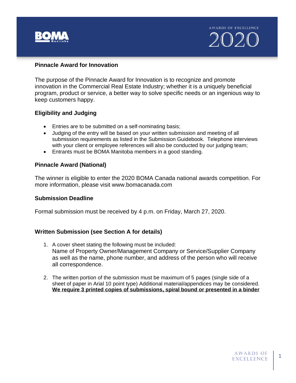

#### **Pinnacle Award for Innovation**

The purpose of the Pinnacle Award for Innovation is to recognize and promote innovation in the Commercial Real Estate Industry; whether it is a uniquely beneficial program, product or service, a better way to solve specific needs or an ingenious way to keep customers happy.

#### **Eligibility and Judging**

- Entries are to be submitted on a self-nominating basis;
- Judging of the entry will be based on your written submission and meeting of all submission requirements as listed in the Submission Guidebook. Telephone interviews with your client or employee references will also be conducted by our judging team;
- Entrants must be BOMA Manitoba members in a good standing.

#### **Pinnacle Award (National)**

The winner is eligible to enter the 2020 BOMA Canada national awards competition. For more information, please visit www.bomacanada.com

#### **Submission Deadline**

Formal submission must be received by 4 p.m. on Friday, March 27, 2020.

#### **Written Submission (see Section A for details)**

- 1. A cover sheet stating the following must be included: Name of Property Owner/Management Company or Service/Supplier Company as well as the name, phone number, and address of the person who will receive all correspondence.
- 2. The written portion of the submission must be maximum of 5 pages (single side of a sheet of paper in Arial 10 point type) Additional material/appendices may be considered. **We require 3 printed copies of submissions, spiral bound or presented in a binder**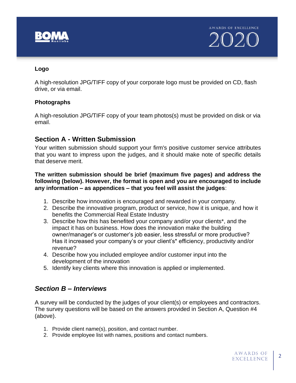

### **Logo**

A high-resolution JPG/TIFF copy of your corporate logo must be provided on CD, flash drive, or via email.

#### **Photographs**

A high-resolution JPG/TIFF copy of your team photos(s) must be provided on disk or via email.

# **Section A - Written Submission**

Your written submission should support your firm's positive customer service attributes that you want to impress upon the judges, and it should make note of specific details that deserve merit.

**The written submission should be brief (maximum five pages) and address the following (below). However, the format is open and you are encouraged to include any information – as appendices – that you feel will assist the judges**:

- 1. Describe how innovation is encouraged and rewarded in your company.
- 2. Describe the innovative program, product or service, how it is unique, and how it benefits the Commercial Real Estate Industry
- 3. Describe how this has benefited your company and/or your clients\*, and the impact it has on business. How does the innovation make the building owner/manager's or customer's job easier, less stressful or more productive? Has it increased your company's or your client's\* efficiency, productivity and/or revenue?
- 4. Describe how you included employee and/or customer input into the development of the innovation
- 5. Identify key clients where this innovation is applied or implemented.

# *Section B – Interviews*

A survey will be conducted by the judges of your client(s) or employees and contractors. The survey questions will be based on the answers provided in Section A, Question #4 (above).

- 1. Provide client name(s), position, and contact number.
- 2. Provide employee list with names, positions and contact numbers.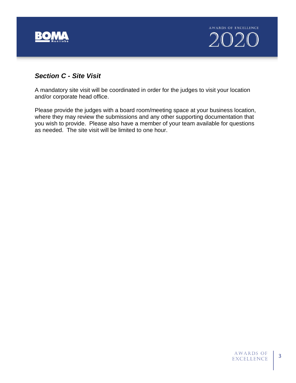

# *Section C - Site Visit*

A mandatory site visit will be coordinated in order for the judges to visit your location and/or corporate head office.

Please provide the judges with a board room/meeting space at your business location, where they may review the submissions and any other supporting documentation that you wish to provide. Please also have a member of your team available for questions as needed. The site visit will be limited to one hour.